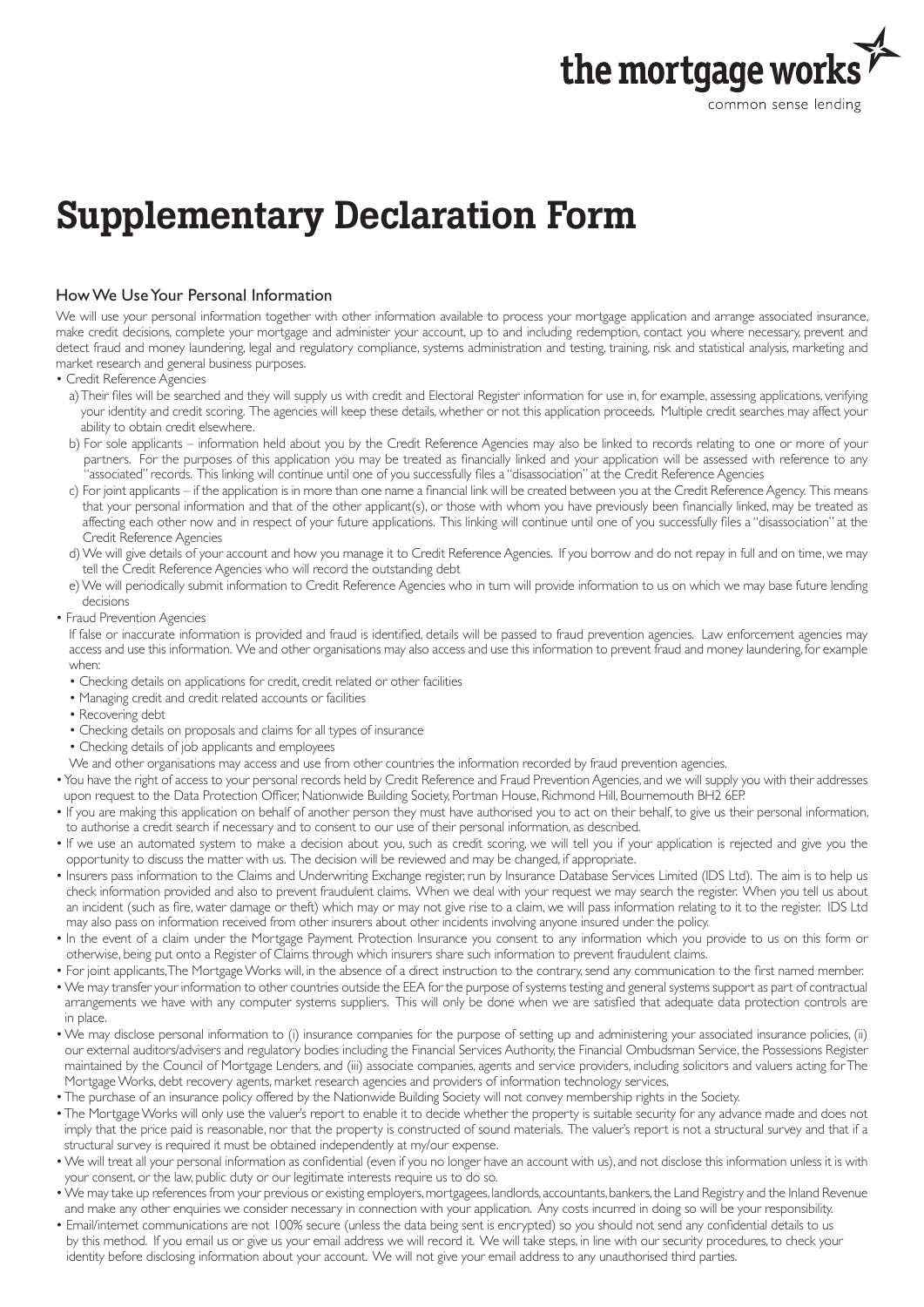

# Supplementary Declaration Form

## How We Use Your Personal Information

We will use your personal information together with other information available to process your mortgage application and arrange associated insurance, make credit decisions, complete your mortgage and administer your account, up to and including redemption, contact you where necessary, prevent and detect fraud and money laundering, legal and regulatory compliance, systems administration and testing, training, risk and statistical analysis, marketing and market research and general business purposes.

- Credit Reference Agencies
	- a) Their files will be searched and they will supply us with credit and Electoral Register information for use in, for example, assessing applications, verifying your identity and credit scoring. The agencies will keep these details, whether or not this application proceeds. Multiple credit searches may affect your ability to obtain credit elsewhere.
	- b) For sole applicants information held about you by the Credit Reference Agencies may also be linked to records relating to one or more of your partners. For the purposes of this application you may be treated as financially linked and your application will be assessed with reference to any "associated" records. This linking will continue until one of you successfully files a "disassociation" at the Credit Reference Agencies
	- c) For joint applicants if the application is in more than one name a financial link will be created between you at the Credit Reference Agency. This means that your personal information and that of the other applicant(s), or those with whom you have previously been financially linked, may be treated as affecting each other now and in respect of your future applications. This linking will continue until one of you successfully files a "disassociation" at the Credit Reference Agencies
	- d) We will give details of your account and how you manage it to Credit Reference Agencies. If you borrow and do not repay in full and on time, we may tell the Credit Reference Agencies who will record the outstanding debt
	- e) We will periodically submit information to Credit Reference Agencies who in turn will provide information to us on which we may base future lending decisions
- Fraud Prevention Agencies

If false or inaccurate information is provided and fraud is identified, details will be passed to fraud prevention agencies. Law enforcement agencies may access and use this information. We and other organisations may also access and use this information to prevent fraud and money laundering, for example when:

- Checking details on applications for credit, credit related or other facilities
- Managing credit and credit related accounts or facilities
- Recovering debt
- Checking details on proposals and claims for all types of insurance
- Checking details of job applicants and employees
- We and other organisations may access and use from other countries the information recorded by fraud prevention agencies.
- You have the right of access to your personal records held by Credit Reference and Fraud Prevention Agencies, and we will supply you with their addresses upon request to the Data Protection Officer, Nationwide Building Society, Portman House, Richmond Hill, Bournemouth BH2 6EP.
- If you are making this application on behalf of another person they must have authorised you to act on their behalf, to give us their personal information, to authorise a credit search if necessary and to consent to our use of their personal information, as described.
- If we use an automated system to make a decision about you, such as credit scoring, we will tell you if your application is rejected and give you the opportunity to discuss the matter with us. The decision will be reviewed and may be changed, if appropriate.
- Insurers pass information to the Claims and Underwriting Exchange register, run by Insurance Database Services Limited (IDS Ltd). The aim is to help us check information provided and also to prevent fraudulent claims. When we deal with your request we may search the register. When you tell us about an incident (such as fire, water damage or theft) which may or may not give rise to a claim, we will pass information relating to it to the register. IDS Ltd may also pass on information received from other insurers about other incidents involving anyone insured under the policy.
- In the event of a claim under the Mortgage Payment Protection Insurance you consent to any information which you provide to us on this form or otherwise, being put onto a Register of Claims through which insurers share such information to prevent fraudulent claims.
- For joint applicants, The Mortgage Works will, in the absence of a direct instruction to the contrary, send any communication to the first named member.
- We may transfer your information to other countries outside the EEA for the purpose of systems testing and general systems support as part of contractual arrangements we have with any computer systems suppliers. This will only be done when we are satisfied that adequate data protection controls are in place.
- We may disclose personal information to (i) insurance companies for the purpose of setting up and administering your associated insurance policies, (ii) our external auditors/advisers and regulatory bodies including the Financial Services Authority, the Financial Ombudsman Service, the Possessions Register maintained by the Council of Mortgage Lenders, and (iii) associate companies, agents and service providers, including solicitors and valuers acting for The Mortgage Works, debt recovery agents, market research agencies and providers of information technology services.
- The purchase of an insurance policy offered by the Nationwide Building Society will not convey membership rights in the Society.
- The Mortgage Works will only use the valuer's report to enable it to decide whether the property is suitable security for any advance made and does not imply that the price paid is reasonable, nor that the property is constructed of sound materials. The valuer's report is not a structural survey and that if a structural survey is required it must be obtained independently at my/our expense.
- We will treat all your personal information as confidential (even if you no longer have an account with us), and not disclose this information unless it is with your consent, or the law, public duty or our legitimate interests require us to do so.
- We may take up references from your previous or existing employers, mortgagees, landlords, accountants, bankers, the Land Registry and the Inland Revenue and make any other enquiries we consider necessary in connection with your application. Any costs incurred in doing so will be your responsibility.
- Email/internet communications are not 100% secure (unless the data being sent is encrypted) so you should not send any confidential details to us by this method. If you email us or give us your email address we will record it. We will take steps, in line with our security procedures, to check your identity before disclosing information about your account. We will not give your email address to any unauthorised third parties.